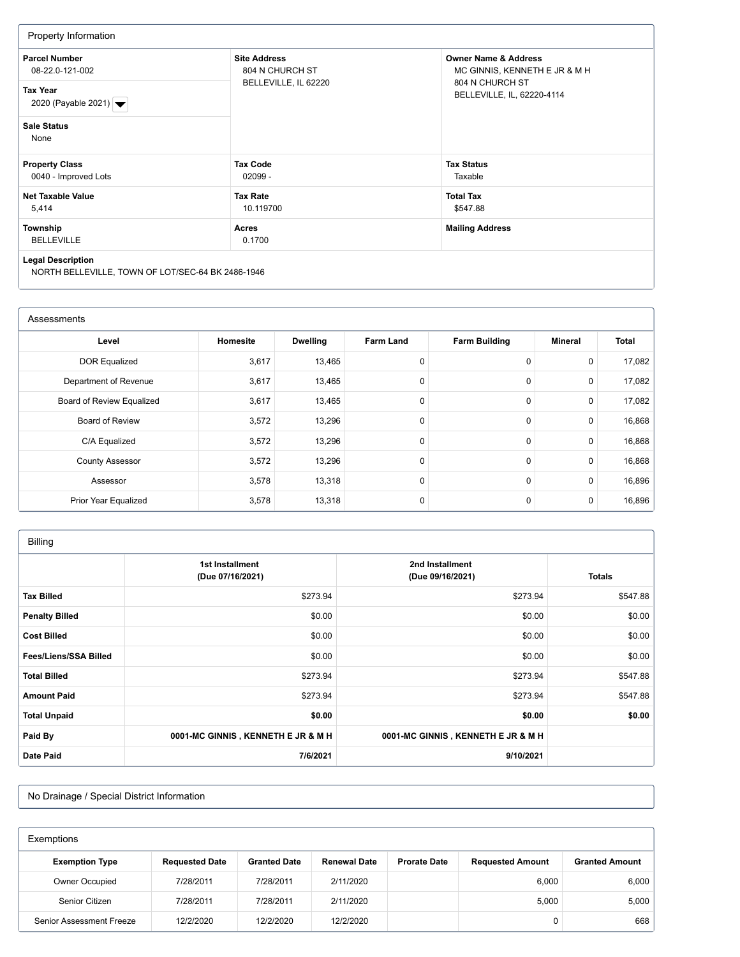| Property Information                                                                                    |                                                                |                                                                                                                   |  |  |  |  |
|---------------------------------------------------------------------------------------------------------|----------------------------------------------------------------|-------------------------------------------------------------------------------------------------------------------|--|--|--|--|
| <b>Parcel Number</b><br>08-22.0-121-002<br><b>Tax Year</b><br>2020 (Payable 2021) $\blacktriangleright$ | <b>Site Address</b><br>804 N CHURCH ST<br>BELLEVILLE, IL 62220 | <b>Owner Name &amp; Address</b><br>MC GINNIS, KENNETH E JR & M H<br>804 N CHURCH ST<br>BELLEVILLE, IL, 62220-4114 |  |  |  |  |
| <b>Sale Status</b><br>None                                                                              |                                                                |                                                                                                                   |  |  |  |  |
| <b>Property Class</b><br>0040 - Improved Lots                                                           | <b>Tax Code</b><br>$02099 -$                                   | <b>Tax Status</b><br>Taxable                                                                                      |  |  |  |  |
| <b>Net Taxable Value</b><br>5,414                                                                       | <b>Tax Rate</b><br>10.119700                                   | <b>Total Tax</b><br>\$547.88                                                                                      |  |  |  |  |
| Township<br><b>BELLEVILLE</b>                                                                           | Acres<br>0.1700                                                | <b>Mailing Address</b>                                                                                            |  |  |  |  |
| <b>Legal Description</b><br>NORTH BELLEVILLE, TOWN OF LOT/SEC-64 BK 2486-1946                           |                                                                |                                                                                                                   |  |  |  |  |

| Assessments               |          |                 |                  |                      |             |        |  |
|---------------------------|----------|-----------------|------------------|----------------------|-------------|--------|--|
| Level                     | Homesite | <b>Dwelling</b> | <b>Farm Land</b> | <b>Farm Building</b> | Mineral     | Total  |  |
| <b>DOR Equalized</b>      | 3,617    | 13,465          | 0                | $\mathbf 0$          | 0           | 17,082 |  |
| Department of Revenue     | 3,617    | 13,465          | $\Omega$         | 0                    | $\mathbf 0$ | 17,082 |  |
| Board of Review Equalized | 3,617    | 13,465          | 0                | 0                    | $\mathbf 0$ | 17,082 |  |
| <b>Board of Review</b>    | 3,572    | 13,296          | 0                | $\mathbf 0$          | 0           | 16,868 |  |
| C/A Equalized             | 3,572    | 13,296          | $\Omega$         | $\mathbf 0$          | $\mathbf 0$ | 16,868 |  |
| <b>County Assessor</b>    | 3,572    | 13,296          | $\Omega$         | $\mathbf 0$          | $\mathbf 0$ | 16,868 |  |
| Assessor                  | 3,578    | 13,318          | $\Omega$         | $\mathbf 0$          | $\mathbf 0$ | 16,896 |  |
| Prior Year Equalized      | 3,578    | 13,318          | 0                | $\mathbf 0$          | $\mathbf 0$ | 16,896 |  |

| <b>Billing</b>        |                                     |                                     |               |  |  |
|-----------------------|-------------------------------------|-------------------------------------|---------------|--|--|
|                       | 1st Installment<br>(Due 07/16/2021) | 2nd Installment<br>(Due 09/16/2021) | <b>Totals</b> |  |  |
| <b>Tax Billed</b>     | \$273.94                            | \$273.94                            | \$547.88      |  |  |
| <b>Penalty Billed</b> | \$0.00                              | \$0.00                              | \$0.00        |  |  |
| <b>Cost Billed</b>    | \$0.00                              | \$0.00                              | \$0.00        |  |  |
| Fees/Liens/SSA Billed | \$0.00                              | \$0.00                              | \$0.00        |  |  |
| <b>Total Billed</b>   | \$273.94                            | \$273.94                            | \$547.88      |  |  |
| <b>Amount Paid</b>    | \$273.94                            | \$273.94                            | \$547.88      |  |  |
| <b>Total Unpaid</b>   | \$0.00                              | \$0.00                              | \$0.00        |  |  |
| Paid By               | 0001-MC GINNIS, KENNETH E JR & M H  | 0001-MC GINNIS, KENNETH E JR & M H  |               |  |  |
| <b>Date Paid</b>      | 7/6/2021                            | 9/10/2021                           |               |  |  |

No Drainage / Special District Information

| Exemptions               |                       |                     |                     |                                                |       |                       |  |
|--------------------------|-----------------------|---------------------|---------------------|------------------------------------------------|-------|-----------------------|--|
| <b>Exemption Type</b>    | <b>Requested Date</b> | <b>Granted Date</b> | <b>Renewal Date</b> | <b>Prorate Date</b><br><b>Requested Amount</b> |       | <b>Granted Amount</b> |  |
| Owner Occupied           | 7/28/2011             | 7/28/2011           | 2/11/2020           |                                                | 6,000 | 6,000                 |  |
| Senior Citizen           | 7/28/2011             | 7/28/2011           | 2/11/2020           |                                                | 5,000 | 5,000                 |  |
| Senior Assessment Freeze | 12/2/2020             | 12/2/2020           | 12/2/2020           |                                                |       | 668                   |  |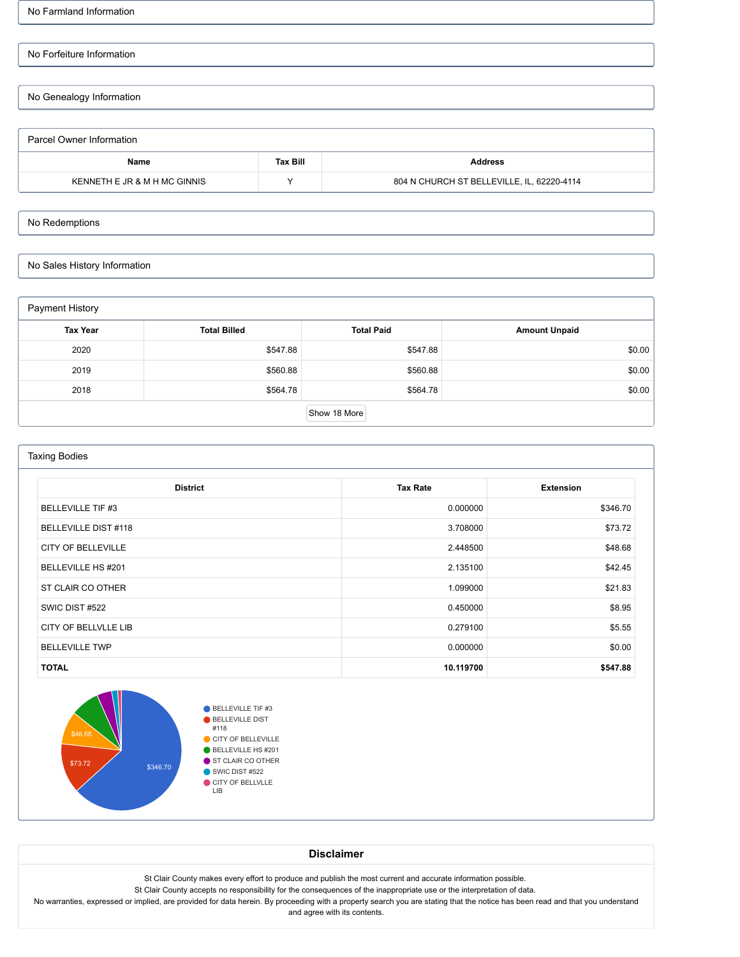No Farmland Information

# No Forfeiture Information

No Genealogy Information

| Parcel Owner Information     |                 |                                            |  |  |  |
|------------------------------|-----------------|--------------------------------------------|--|--|--|
| Name                         | <b>Tax Bill</b> | Address                                    |  |  |  |
| KENNETH E JR & M H MC GINNIS | $\checkmark$    | 804 N CHURCH ST BELLEVILLE, IL, 62220-4114 |  |  |  |

## No Redemptions

No Sales History Information

| Payment History |                     |                   |                      |  |  |  |
|-----------------|---------------------|-------------------|----------------------|--|--|--|
| <b>Tax Year</b> | <b>Total Billed</b> | <b>Total Paid</b> | <b>Amount Unpaid</b> |  |  |  |
| 2020            | \$547.88            | \$547.88          | \$0.00               |  |  |  |
| 2019            | \$560.88            | \$560.88          | \$0.00               |  |  |  |
| 2018            | \$564.78            | \$564.78          | \$0.00               |  |  |  |
|                 |                     | Show 18 More      |                      |  |  |  |

| <b>Taxing Bodies</b>                                   |           |          |  |  |  |  |  |
|--------------------------------------------------------|-----------|----------|--|--|--|--|--|
| <b>Tax Rate</b><br><b>District</b><br><b>Extension</b> |           |          |  |  |  |  |  |
| <b>BELLEVILLE TIF #3</b>                               | 0.000000  | \$346.70 |  |  |  |  |  |
| <b>BELLEVILLE DIST #118</b>                            | 3.708000  | \$73.72  |  |  |  |  |  |
| <b>CITY OF BELLEVILLE</b>                              | 2.448500  | \$48.68  |  |  |  |  |  |
| BELLEVILLE HS #201                                     | 2.135100  | \$42.45  |  |  |  |  |  |
| ST CLAIR CO OTHER                                      | 1.099000  | \$21.83  |  |  |  |  |  |
| SWIC DIST #522                                         | 0.450000  | \$8.95   |  |  |  |  |  |
| CITY OF BELLVLLE LIB                                   | 0.279100  | \$5.55   |  |  |  |  |  |
| <b>BELLEVILLE TWP</b>                                  | 0.000000  | \$0.00   |  |  |  |  |  |
| <b>TOTAL</b>                                           | 10.119700 | \$547.88 |  |  |  |  |  |



**Disclaimer**

St Clair County makes every effort to produce and publish the most current and accurate information possible.

St Clair County accepts no responsibility for the consequences of the inappropriate use or the interpretation of data.

No warranties, expressed or implied, are provided for data herein. By proceeding with a property search you are stating that the notice has been read and that you understand and agree with its contents.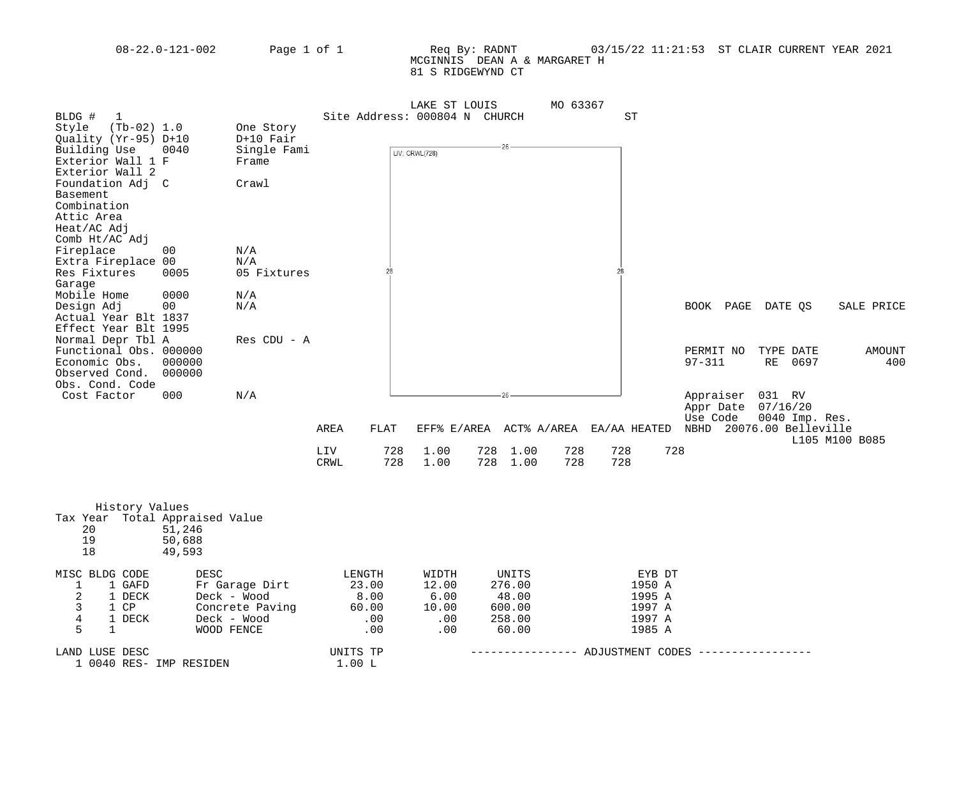### 08-22.0-121-002 Page 1 of 1 Req By: RADNT 03/15/22 11:21:53 ST CLAIR CURRENT YEAR 2021 MCGINNIS DEAN A & MARGARET H 81 S RIDGEWYND CT

|                                      |                 |                               | LAKE ST LOUIS  |                    | MO 63367               |                                         |
|--------------------------------------|-----------------|-------------------------------|----------------|--------------------|------------------------|-----------------------------------------|
| BLDG #<br>1                          |                 | Site Address: 000804 N CHURCH |                |                    | SТ                     |                                         |
| Style<br>$(Tb-02) 1.0$               | One Story       |                               |                |                    |                        |                                         |
| Quality (Yr-95) D+10                 | $D+10$ Fair     |                               |                |                    |                        |                                         |
| Building Use<br>0040                 | Single Fami     |                               | LIV: CRWL(728) | 26                 |                        |                                         |
| Exterior Wall 1 F                    | Frame           |                               |                |                    |                        |                                         |
| Exterior Wall 2                      |                 |                               |                |                    |                        |                                         |
| Foundation Adj C                     | Crawl           |                               |                |                    |                        |                                         |
| Basement                             |                 |                               |                |                    |                        |                                         |
| Combination                          |                 |                               |                |                    |                        |                                         |
| Attic Area                           |                 |                               |                |                    |                        |                                         |
| Heat/AC Adj                          |                 |                               |                |                    |                        |                                         |
| Comb Ht/AC Adj                       |                 |                               |                |                    |                        |                                         |
| Fireplace<br>00                      | N/A             |                               |                |                    |                        |                                         |
| Extra Fireplace 00                   | N/A             |                               |                |                    |                        |                                         |
| Res Fixtures<br>0005                 | 05 Fixtures     | 28                            |                |                    | 28                     |                                         |
| Garage                               |                 |                               |                |                    |                        |                                         |
| Mobile Home<br>0000                  | N/A             |                               |                |                    |                        |                                         |
| Design Adj<br>00                     | N/A             |                               |                |                    |                        | BOOK PAGE DATE QS<br>SALE PRICE         |
| Actual Year Blt 1837                 |                 |                               |                |                    |                        |                                         |
| Effect Year Blt 1995                 |                 |                               |                |                    |                        |                                         |
| Normal Depr Tbl A                    | Res CDU - A     |                               |                |                    |                        |                                         |
| Functional Obs. 000000               |                 |                               |                |                    |                        | PERMIT NO<br>TYPE DATE<br><b>AMOUNT</b> |
| Economic Obs.<br>000000              |                 |                               |                |                    |                        | $97 - 311$<br>RE<br>400<br>0697         |
| Observed Cond.<br>000000             |                 |                               |                |                    |                        |                                         |
| Obs. Cond. Code                      |                 |                               |                |                    |                        |                                         |
| Cost Factor<br>000                   | N/A             |                               |                |                    |                        | Appraiser<br>031 RV                     |
|                                      |                 |                               |                |                    |                        | 07/16/20<br>Appr Date                   |
|                                      |                 |                               |                |                    |                        | Use Code<br>0040 Imp. Res.              |
|                                      |                 | AREA<br>FLAT                  | EFF% E/AREA    | ACT% A/AREA        | EA/AA HEATED           | NBHD<br>20076.00 Belleville             |
|                                      |                 |                               |                |                    |                        | L105 M100 B085                          |
|                                      |                 | LIV<br>728                    | 1.00           | 728<br>1.00<br>728 | 728<br>728             |                                         |
|                                      |                 | 728<br>CRWL                   | 1.00           | 728<br>728<br>1.00 | 728                    |                                         |
|                                      |                 |                               |                |                    |                        |                                         |
|                                      |                 |                               |                |                    |                        |                                         |
|                                      |                 |                               |                |                    |                        |                                         |
| History Values                       |                 |                               |                |                    |                        |                                         |
| Tax Year Total Appraised Value<br>20 |                 |                               |                |                    |                        |                                         |
| 51,246<br>19<br>50,688               |                 |                               |                |                    |                        |                                         |
| 18<br>49,593                         |                 |                               |                |                    |                        |                                         |
|                                      |                 |                               |                |                    |                        |                                         |
| MISC BLDG CODE<br>DESC               |                 | LENGTH                        | WIDTH          | UNITS              | EYB DT                 |                                         |
| 1<br>1 GAFD                          | Fr Garage Dirt  | 23.00                         | 12.00          | 276.00             | 1950 A                 |                                         |
| $\overline{2}$<br>1 DECK             | Deck - Wood     | 8.00                          | 6.00           | 48.00              | 1995 A                 |                                         |
| 3<br>1 CP                            | Concrete Paving | 60.00                         | 10.00          | 600.00             | 1997 A                 |                                         |
| $\overline{4}$<br>1 DECK             | Deck - Wood     | .00                           | .00            | 258.00             | 1997 A                 |                                         |
| 5<br>$\mathbf{1}$                    | WOOD FENCE      | .00                           | .00            | 60.00              | 1985 A                 |                                         |
|                                      |                 |                               |                |                    |                        |                                         |
| LAND LUSE DESC                       |                 | UNITS TP                      |                |                    | ----- ADJUSTMENT CODES |                                         |
| 1 0040 RES- IMP RESIDEN              |                 | 1.00L                         |                |                    |                        |                                         |